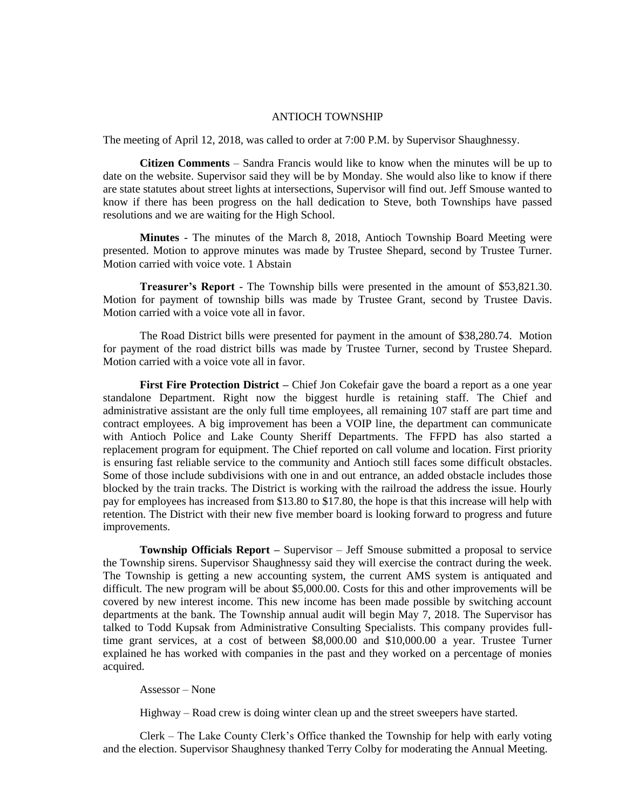## ANTIOCH TOWNSHIP

The meeting of April 12, 2018, was called to order at 7:00 P.M. by Supervisor Shaughnessy.

**Citizen Comments** – Sandra Francis would like to know when the minutes will be up to date on the website. Supervisor said they will be by Monday. She would also like to know if there are state statutes about street lights at intersections, Supervisor will find out. Jeff Smouse wanted to know if there has been progress on the hall dedication to Steve, both Townships have passed resolutions and we are waiting for the High School.

**Minutes** - The minutes of the March 8, 2018, Antioch Township Board Meeting were presented. Motion to approve minutes was made by Trustee Shepard, second by Trustee Turner. Motion carried with voice vote. 1 Abstain

**Treasurer's Report** - The Township bills were presented in the amount of \$53,821.30. Motion for payment of township bills was made by Trustee Grant, second by Trustee Davis. Motion carried with a voice vote all in favor.

The Road District bills were presented for payment in the amount of \$38,280.74. Motion for payment of the road district bills was made by Trustee Turner, second by Trustee Shepard. Motion carried with a voice vote all in favor.

**First Fire Protection District –** Chief Jon Cokefair gave the board a report as a one year standalone Department. Right now the biggest hurdle is retaining staff. The Chief and administrative assistant are the only full time employees, all remaining 107 staff are part time and contract employees. A big improvement has been a VOIP line, the department can communicate with Antioch Police and Lake County Sheriff Departments. The FFPD has also started a replacement program for equipment. The Chief reported on call volume and location. First priority is ensuring fast reliable service to the community and Antioch still faces some difficult obstacles. Some of those include subdivisions with one in and out entrance, an added obstacle includes those blocked by the train tracks. The District is working with the railroad the address the issue. Hourly pay for employees has increased from \$13.80 to \$17.80, the hope is that this increase will help with retention. The District with their new five member board is looking forward to progress and future improvements.

**Township Officials Report –** Supervisor – Jeff Smouse submitted a proposal to service the Township sirens. Supervisor Shaughnessy said they will exercise the contract during the week. The Township is getting a new accounting system, the current AMS system is antiquated and difficult. The new program will be about \$5,000.00. Costs for this and other improvements will be covered by new interest income. This new income has been made possible by switching account departments at the bank. The Township annual audit will begin May 7, 2018. The Supervisor has talked to Todd Kupsak from Administrative Consulting Specialists. This company provides fulltime grant services, at a cost of between \$8,000.00 and \$10,000.00 a year. Trustee Turner explained he has worked with companies in the past and they worked on a percentage of monies acquired.

## Assessor – None

Highway – Road crew is doing winter clean up and the street sweepers have started.

Clerk – The Lake County Clerk's Office thanked the Township for help with early voting and the election. Supervisor Shaughnesy thanked Terry Colby for moderating the Annual Meeting.